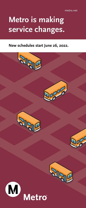## **Metro is making service changes.**

## **New schedules start June 26, 2022.**

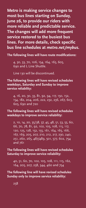**Metro is making service changes to most bus lines starting on Sunday, June 26, to provide our riders with more reliable and predictable service. The changes will add more frequent service restored to the busiest bus lines. For more details, check specific bus line schedules at** *metro.net/mybus***.**

**The following lines will have route modifications:**

4, 30, 33, 70, 106, 154, 164, 165, 605, 690 and L Line Shuttle.

Line 130 will be discontinued.

**The following lines will have revised schedules weekdays, Saturday and Sunday to improve service reliability:**

4, 16, 20, 30, 33, 81, 92, 94, 117, 150, 152, 154, 182, 204, 206, 222, 232, 236, 267, 603, 605, 690 and 720

**The following lines will have revised schedules weekdays to improve service reliability:**

2, 10, 14, 20, 35/38, 37, 45, 48, 51, 53, 55, 60, 66, 70, 78, 81, 92, 102, 105, 108, 115, 117, 120, 125, 128, 152, 155, 161, 164, 165, 166, 167, 169, 205, 207, 210, 212, 217, 230, 240, 251, 260, 265, 487/489, 501, 577, 602, 754 and 761

**The following lines will have revised schedules Saturday to improve service reliability:**

40, 51, 60, 70, 102, 105, 108, 111, 115, 162, 164, 205, 207, 258, 344, 460 and 754

**The following line will have revised schedules Sunday only to improve service reliability:**

258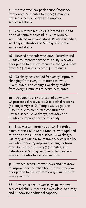**2** – Improve weekday peak period frequency from every 10 minutes to every 7.5 minutes. Revised schedule weekday to improve service reliability.

**4** – New western terminus is located at 6th St north of Santa Monica Bl in Santa Monica, with updated route and stops. Revised schedule weekdays, Saturday and Sunday to improve service reliability.

**16** – Revised schedule weekdays, Saturday and Sunday to improve service reliability. Weekday peak period frequency improves, changing from every 7–7.5 minutes to every 5–6 minutes.

**28** – Weekday peak period frequency improves, changing from every 10 minutes to every 6–8 minutes, and changes weekday midday from every 12 minutes to every 10 minutes.

**30** – Updated route northeast of downtown LA proceeds direct via 1st St in both directions (no longer Vignes St, Temple St, Judge John Aiso St) due to completed construction. Revised schedule weekdays, Saturday and Sunday to improve service reliability.

**33** – New western terminus at 5th St north of Santa Monica Bl in Santa Monica, with updated route and stops. Revised schedule weekdays, Saturday and Sunday to improve service reliability. Weekday frequency improves, changing from every 10 minutes to every 7.5 minutes, and Saturday and Sunday frequency changes from every 12 minutes to every 10 minutes.

**51** – Revised schedules weekdays and Saturday to improve service reliability. Improve weekday peak period frequency from every 6 minutes to every 5 minutes.

**66** – Revised schedule weekdays to improve service reliability. More trips weekdays, Saturday and Sunday for additional capacity.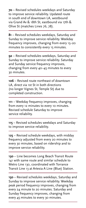**70** – Revised schedules weekdays and Saturday to improve service reliability. Updated route in south end of downtown LA, westbound via Grand Av & 18th St, eastbound via 17th & Olive St (matches Lines 76, 78).

**81** – Revised schedules weekdays, Saturday and Sunday to improve service reliability. Weekday frequency improves, changing from every 15–20 minutes to consistently every 15 minutes.

**92** – Revised schedules weekdays, Saturday and Sunday to improve service reliability. Saturday and Sunday service frequency improves, changing from every 40–45 minutes to every 30 minutes.

**106** – Revised route northeast of downtown LA, direct via 1st St in both directions (no longer Vignes St, Temple St) due to completed construction.

**111** – Weekday frequency improves, changing from every 12 minutes to every 10 minutes. Revised schedule Saturday to improve service reliability.

**115** – Revised schedules weekdays and Saturday to improve service reliability.

**125** – Revised schedule weekdays, with midday frequency adjusted from every 20 minutes to every 30 minutes, based on ridership and to improve service reliability.

**130** – Line becomes Long Beach Transit Route 141 with same route and similar schedule to Metro Line 130, coordinated with Torrance Transit Line 13 at Artesia A Line (Blue) Station.

**150** – Revised schedules weekdays, Saturday and Sunday to improve service reliability. Weekday peak period frequency improves, changing from every 24 minute to 20 minutes. Saturday and Sunday frequency improves, changing from every 45 minutes to every 30 minutes.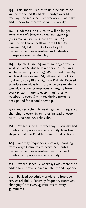**154** – This line will return to its previous route via the reopened Burbank Bl bridge over I-5 freeway. Revised schedules weekdays, Saturday and Sunday to improve service reliability.

**164** – Updated Line 164 route will no longer travel west of Platt Av due to low ridership (this area will still be served by Line 169). Line 164 will travel eastbound via Platt Av, Vanowen St, Fallbrook Av to Victory Bl. Revised schedules weekdays and Saturday to improve service reliability.

**165** – Updated Line 165 route no longer travels west of Platt Av due to low ridership (this area will be served by Line 169). Westbound Line 165 will travel via Vanowen St, left on Fallbrook Av, right on Victory Bl and right on Platt Av. Revised schedule weekdays to improve service reliability. Weekday frequency improves, changing from every 15–20 minute to every 15 minutes, with westbound every 8 minutes during morning peak period for school ridership.

**177** – Revised schedule weekdays, with frequency changing to every 60 minutes instead of every 30 minutes due low ridership.

**182** – Revised schedules weekdays, Saturday and Sunday to improve service reliability. New bus stops at Fletcher Dr at Av 32 in both directions.

**204** – Weekday frequency improves, changing from every 12 minutes to every 10 minutes. Revised schedules weekdays, Saturday and Sunday to improve service reliability.

**212** – Revised schedule weekdays with more trips added to improve service reliability and capacity.

**230** – Revised schedule weekdays to improve service reliability. Saturday frequency improves, changing from every 45 minutes to every 35 minutes.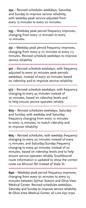**232** – Revised schedules weekdays, Saturday and Sunday to improve service reliability, with weekday peak service adjusted from every 15 minutes to every 20 minutes.

**233** – Weekday peak period frequency improves, changing from every 12 minutes to every 10 minutes.

**251** – Weekday peak period frequency improves, changing from every 9–10 minutes to every 7.5 minutes. Revised schedule weekdays to improve service reliability.

**501** – Revised schedule weekdays, with frequency adjusted to every 30 minutes peak periods weekdays, instead of every 20 minutes based on ridership and to improve service reliability.

**577** – Revised schedule weekdays, with frequency changing to every 45 minutes instead of 30 minutes, based on ridership levels and to help ensure service operates reliably.

**603** – Revised schedules weekdays, Saturday and Sunday, with weekday and Saturday frequency changing from every 12 minutes to every 15 minutes, to match ridership and to improve reliability.

**605** – Revised schedules, with weekday frequency changing to every 20 minutes instead of every 15 minutes, and Saturday/Sunday frequency changing to every 40 minutes instead of 20 minutes, based on ridership levels and to help ensure service operates reliably. Southbound route information is updated to show the correct route via Mission Rd instead of State St.

**690** – Weekday peak period frequency improves, changing from every 50 minutes to every 25 minutes between Sylmar Station and Olive View Medical Center. Revised schedules weekdays, Saturday and Sunday to improve service reliability. At Olive View Medical Center, all Line 690 trips